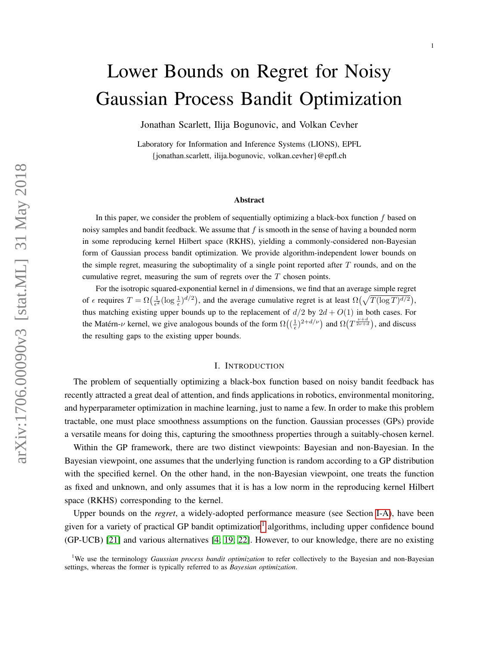# <span id="page-0-0"></span>Lower Bounds on Regret for Noisy Gaussian Process Bandit Optimization

Jonathan Scarlett, Ilija Bogunovic, and Volkan Cevher

Laboratory for Information and Inference Systems (LIONS), EPFL {jonathan.scarlett, ilija.bogunovic, volkan.cevher}@epfl.ch

#### Abstract

In this paper, we consider the problem of sequentially optimizing a black-box function  $f$  based on noisy samples and bandit feedback. We assume that  $f$  is smooth in the sense of having a bounded norm in some reproducing kernel Hilbert space (RKHS), yielding a commonly-considered non-Bayesian form of Gaussian process bandit optimization. We provide algorithm-independent lower bounds on the simple regret, measuring the suboptimality of a single point reported after  $T$  rounds, and on the cumulative regret, measuring the sum of regrets over the  $T$  chosen points.

For the isotropic squared-exponential kernel in  $d$  dimensions, we find that an average simple regret of  $\epsilon$  requires  $T = \Omega\left(\frac{1}{\epsilon^2}(\log \frac{1}{\epsilon})^{d/2}\right)$ , and the average cumulative regret is at least  $\Omega\left(\sqrt{T(\log T)^{d/2}}\right)$ , thus matching existing upper bounds up to the replacement of  $d/2$  by  $2d + O(1)$  in both cases. For the Matérn- $\nu$  kernel, we give analogous bounds of the form  $\Omega((\frac{1}{\epsilon})^{2+d/\nu})$  and  $\Omega(T^{\frac{\nu+d}{2\nu+d}})$ , and discuss the resulting gaps to the existing upper bounds.

#### I. INTRODUCTION

The problem of sequentially optimizing a black-box function based on noisy bandit feedback has recently attracted a great deal of attention, and finds applications in robotics, environmental monitoring, and hyperparameter optimization in machine learning, just to name a few. In order to make this problem tractable, one must place smoothness assumptions on the function. Gaussian processes (GPs) provide a versatile means for doing this, capturing the smoothness properties through a suitably-chosen kernel.

Within the GP framework, there are two distinct viewpoints: Bayesian and non-Bayesian. In the Bayesian viewpoint, one assumes that the underlying function is random according to a GP distribution with the specified kernel. On the other hand, in the non-Bayesian viewpoint, one treats the function as fixed and unknown, and only assumes that it is has a low norm in the reproducing kernel Hilbert space (RKHS) corresponding to the kernel.

Upper bounds on the *regret*, a widely-adopted performance measure (see Section [I-A\)](#page-1-0), have been given for a variety of practical GP bandit optimization<sup>1</sup> algorithms, including upper confidence bound (GP-UCB) [\[21\]](#page-19-0) and various alternatives [\[4;](#page-18-0) [19;](#page-19-1) [22\]](#page-19-2). However, to our knowledge, there are no existing

<sup>1</sup>We use the terminology *Gaussian process bandit optimization* to refer collectively to the Bayesian and non-Bayesian settings, whereas the former is typically referred to as *Bayesian optimization*.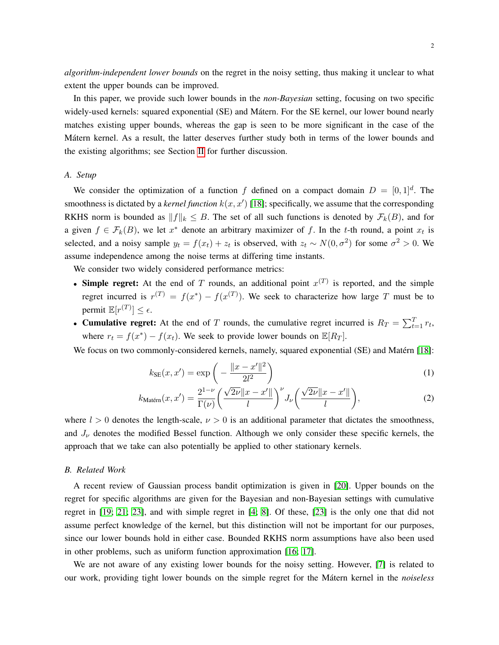*algorithm-independent lower bounds* on the regret in the noisy setting, thus making it unclear to what extent the upper bounds can be improved.

In this paper, we provide such lower bounds in the *non-Bayesian* setting, focusing on two specific widely-used kernels: squared exponential (SE) and Mátern. For the SE kernel, our lower bound nearly matches existing upper bounds, whereas the gap is seen to be more significant in the case of the Mátern kernel. As a result, the latter deserves further study both in terms of the lower bounds and the existing algorithms; see Section [II](#page-2-0) for further discussion.

# <span id="page-1-0"></span>*A. Setup*

We consider the optimization of a function f defined on a compact domain  $D = [0, 1]^d$ . The smoothness is dictated by a *kernel function*  $k(x, x')$  [\[18\]](#page-19-3); specifically, we assume that the corresponding RKHS norm is bounded as  $||f||_k \leq B$ . The set of all such functions is denoted by  $\mathcal{F}_k(B)$ , and for a given  $f \in \mathcal{F}_k(B)$ , we let  $x^*$  denote an arbitrary maximizer of f. In the t-th round, a point  $x_t$  is selected, and a noisy sample  $y_t = f(x_t) + z_t$  is observed, with  $z_t \sim N(0, \sigma^2)$  for some  $\sigma^2 > 0$ . We assume independence among the noise terms at differing time instants.

We consider two widely considered performance metrics:

- Simple regret: At the end of T rounds, an additional point  $x^{(T)}$  is reported, and the simple regret incurred is  $r^{(T)} = f(x^*) - f(x^{(T)})$ . We seek to characterize how large T must be to permit  $\mathbb{E}[r^{(T)}] \leq \epsilon$ .
- Cumulative regret: At the end of T rounds, the cumulative regret incurred is  $R_T = \sum_{t=1}^T r_t$ , where  $r_t = f(x^*) - f(x_t)$ . We seek to provide lower bounds on  $\mathbb{E}[R_T]$ .

We focus on two commonly-considered kernels, namely, squared exponential (SE) and Matérn [\[18\]](#page-19-3):

<span id="page-1-2"></span><span id="page-1-1"></span>
$$
k_{\rm SE}(x, x') = \exp\left(-\frac{\|x - x'\|^2}{2l^2}\right) \tag{1}
$$

$$
k_{\text{Matérn}}(x, x') = \frac{2^{1-\nu}}{\Gamma(\nu)} \left( \frac{\sqrt{2\nu} \|x - x'\|}{l} \right)^{\nu} J_{\nu} \left( \frac{\sqrt{2\nu} \|x - x'\|}{l} \right),\tag{2}
$$

where  $l > 0$  denotes the length-scale,  $\nu > 0$  is an additional parameter that dictates the smoothness, and  $J_{\nu}$  denotes the modified Bessel function. Although we only consider these specific kernels, the approach that we take can also potentially be applied to other stationary kernels.

## *B. Related Work*

A recent review of Gaussian process bandit optimization is given in [\[20\]](#page-19-4). Upper bounds on the regret for specific algorithms are given for the Bayesian and non-Bayesian settings with cumulative regret in [\[19;](#page-19-1) [21;](#page-19-0) [23\]](#page-19-5), and with simple regret in [\[4;](#page-18-0) [8\]](#page-18-1). Of these, [\[23\]](#page-19-5) is the only one that did not assume perfect knowledge of the kernel, but this distinction will not be important for our purposes, since our lower bounds hold in either case. Bounded RKHS norm assumptions have also been used in other problems, such as uniform function approximation [\[16;](#page-18-2) [17\]](#page-19-6).

We are not aware of any existing lower bounds for the noisy setting. However, [\[7\]](#page-18-3) is related to our work, providing tight lower bounds on the simple regret for the Mátern kernel in the *noiseless*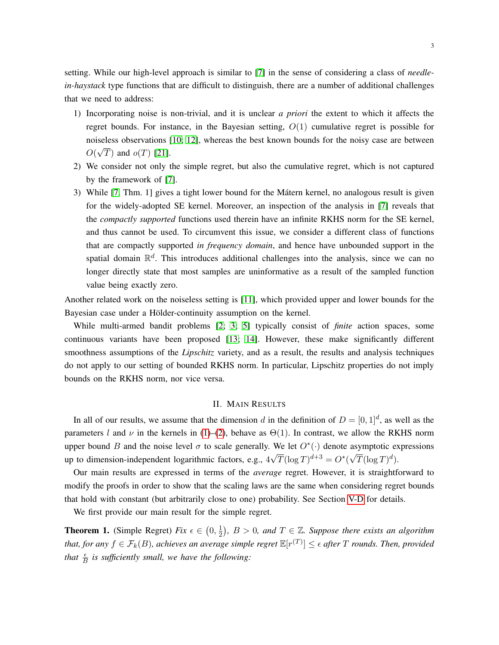setting. While our high-level approach is similar to [\[7\]](#page-18-3) in the sense of considering a class of *needlein-haystack* type functions that are difficult to distinguish, there are a number of additional challenges that we need to address:

- 1) Incorporating noise is non-trivial, and it is unclear *a priori* the extent to which it affects the regret bounds. For instance, in the Bayesian setting,  $O(1)$  cumulative regret is possible for noiseless observations [\[10;](#page-18-4) [12\]](#page-18-5), whereas the best known bounds for the noisy case are between O( √ T) and  $o(T)$  [\[21\]](#page-19-0).
- 2) We consider not only the simple regret, but also the cumulative regret, which is not captured by the framework of [\[7\]](#page-18-3).
- 3) While [\[7,](#page-18-3) Thm. 1] gives a tight lower bound for the Mátern kernel, no analogous result is given for the widely-adopted SE kernel. Moreover, an inspection of the analysis in [\[7\]](#page-18-3) reveals that the *compactly supported* functions used therein have an infinite RKHS norm for the SE kernel, and thus cannot be used. To circumvent this issue, we consider a different class of functions that are compactly supported *in frequency domain*, and hence have unbounded support in the spatial domain  $\mathbb{R}^d$ . This introduces additional challenges into the analysis, since we can no longer directly state that most samples are uninformative as a result of the sampled function value being exactly zero.

Another related work on the noiseless setting is [\[11\]](#page-18-6), which provided upper and lower bounds for the Bayesian case under a Hölder-continuity assumption on the kernel.

While multi-armed bandit problems [\[2;](#page-18-7) [3;](#page-18-8) [5\]](#page-18-9) typically consist of *finite* action spaces, some continuous variants have been proposed [\[13;](#page-18-10) [14\]](#page-18-11). However, these make significantly different smoothness assumptions of the *Lipschitz* variety, and as a result, the results and analysis techniques do not apply to our setting of bounded RKHS norm. In particular, Lipschitz properties do not imply bounds on the RKHS norm, nor vice versa.

# II. MAIN RESULTS

<span id="page-2-0"></span>In all of our results, we assume that the dimension d in the definition of  $D = [0, 1]^d$ , as well as the parameters l and  $\nu$  in the kernels in [\(1\)](#page-1-1)–[\(2\)](#page-1-2), behave as  $\Theta(1)$ . In contrast, we allow the RKHS norm upper bound B and the noise level  $\sigma$  to scale generally. We let  $O^*(\cdot)$  denote asymptotic expressions up to dimension-independent logarithmic factors, e.g., 4 √  $\overline{T}(\log T)^{d+3} = O^*($ √  $\overline{T}(\log T)^d$ ).

Our main results are expressed in terms of the *average* regret. However, it is straightforward to modify the proofs in order to show that the scaling laws are the same when considering regret bounds that hold with constant (but arbitrarily close to one) probability. See Section [V-D](#page-16-0) for details.

We first provide our main result for the simple regret.

<span id="page-2-1"></span>**Theorem 1.** (Simple Regret) *Fix*  $\epsilon \in (0, \frac{1}{2})$  $(\frac{1}{2})$ ,  $B > 0$ , and  $T \in \mathbb{Z}$ . Suppose there exists an algorithm that, for any  $f \in \mathcal{F}_k(B)$ , achieves an average simple regret  $\mathbb{E}[r^{(T)}] \leq \epsilon$  after  $T$  rounds. Then, provided that  $\frac{\epsilon}{B}$  is sufficiently small, we have the following: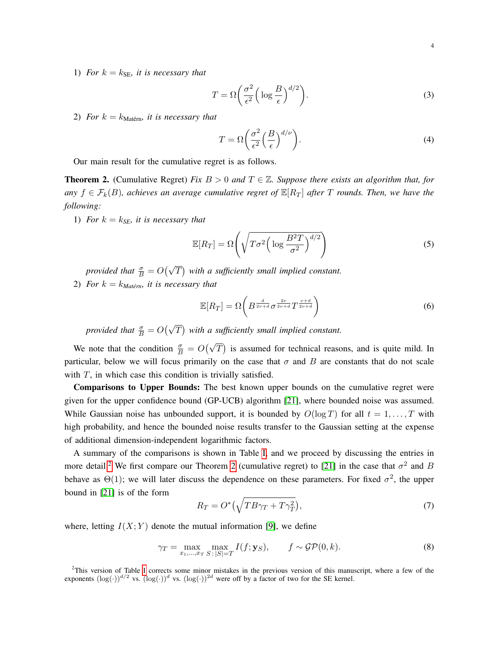1) *For*  $k = k_{\text{SE}}$ *, it is necessary that* 

<span id="page-3-2"></span>
$$
T = \Omega \left( \frac{\sigma^2}{\epsilon^2} \left( \log \frac{B}{\epsilon} \right)^{d/2} \right). \tag{3}
$$

2) *For*  $k = k_{\text{Matérn}}$  *it is necessary that* 

$$
T = \Omega \left( \frac{\sigma^2}{\epsilon^2} \left( \frac{B}{\epsilon} \right)^{d/\nu} \right). \tag{4}
$$

Our main result for the cumulative regret is as follows.

<span id="page-3-0"></span>**Theorem 2.** (Cumulative Regret) *Fix*  $B > 0$  *and*  $T \in \mathbb{Z}$ . Suppose there exists an algorithm that, for *any*  $f \in \mathcal{F}_k(B)$ , achieves an average cumulative regret of  $\mathbb{E}[R_T]$  after T rounds. Then, we have the *following:*

1) *For*  $k = k_{SE}$ *, it is necessary that* 

<span id="page-3-3"></span>
$$
\mathbb{E}[R_T] = \Omega\left(\sqrt{T\sigma^2 \left(\log \frac{B^2 T}{\sigma^2}\right)^{d/2}}\right) \tag{5}
$$

*provided that*  $\frac{\sigma}{B} = O(\sqrt{T})$  with a sufficiently small implied constant.

2) *For*  $k = k_{\text{Matérn}}$  *it is necessary that* 

<span id="page-3-4"></span>
$$
\mathbb{E}[R_T] = \Omega\left(B^{\frac{d}{2\nu+d}} \sigma^{\frac{2\nu}{2\nu+d}} T^{\frac{\nu+d}{2\nu+d}}\right) \tag{6}
$$

*provided that*  $\frac{\sigma}{B} = O(\sqrt{T})$  with a sufficiently small implied constant.

We note that the condition  $\frac{\sigma}{B} = O(\sqrt{T})$  is assumed for technical reasons, and is quite mild. In particular, below we will focus primarily on the case that  $\sigma$  and  $B$  are constants that do not scale with  $T$ , in which case this condition is trivially satisfied.

Comparisons to Upper Bounds: The best known upper bounds on the cumulative regret were given for the upper confidence bound (GP-UCB) algorithm [\[21\]](#page-19-0), where bounded noise was assumed. While Gaussian noise has unbounded support, it is bounded by  $O(\log T)$  for all  $t = 1, \ldots, T$  with high probability, and hence the bounded noise results transfer to the Gaussian setting at the expense of additional dimension-independent logarithmic factors.

A summary of the comparisons is shown in Table [I,](#page-4-0) and we proceed by discussing the entries in more detail.<sup>[2](#page-0-0)</sup> We first compare our Theorem [2](#page-3-0) (cumulative regret) to [\[21\]](#page-19-0) in the case that  $\sigma^2$  and B behave as  $\Theta(1)$ ; we will later discuss the dependence on these parameters. For fixed  $\sigma^2$ , the upper bound in [\[21\]](#page-19-0) is of the form

<span id="page-3-1"></span>
$$
R_T = O^*\left(\sqrt{TB\gamma_T + T\gamma_T^2}\right),\tag{7}
$$

where, letting  $I(X; Y)$  denote the mutual information [\[9\]](#page-18-12), we define

$$
\gamma_T = \max_{x_1, \dots, x_T} \max_{S \colon |S| = T} I(f; \mathbf{y}_S), \qquad f \sim \mathcal{GP}(0, k). \tag{8}
$$

<sup>2</sup>This version of Table [I](#page-4-0) corrects some minor mistakes in the previous version of this manuscript, where a few of the exponents  $(\log(\cdot))^{d/2}$  vs.  $(\log(\cdot))^{d}$  vs.  $(\log(\cdot))^{2d}$  were off by a factor of two for the SE kernel.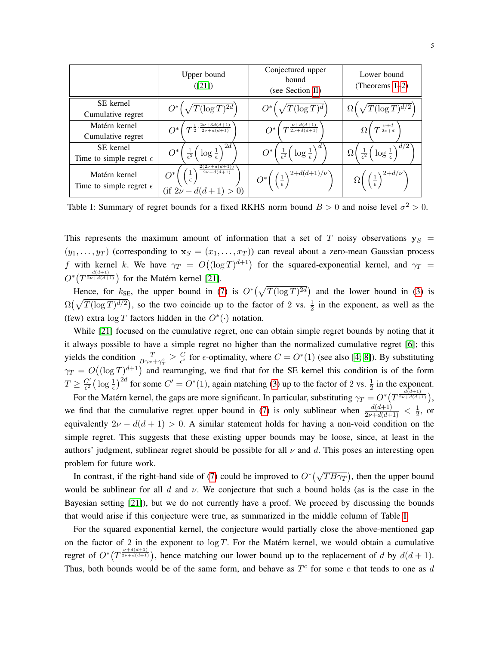<span id="page-4-0"></span>

|                                                   | Upper bound<br>([21])                                                                  | Conjectured upper<br>bound<br>(see Section II)              | Lower bound<br>(Theorems $1-2$ )                            |
|---------------------------------------------------|----------------------------------------------------------------------------------------|-------------------------------------------------------------|-------------------------------------------------------------|
| SE kernel                                         | $O^*\left(\sqrt{T(\log T)^{2d}}\right)$                                                | $\langle T(\log T)^d \rangle$                               | $\sqrt{T(\log T)^{d/2}}$                                    |
| Cumulative regret                                 |                                                                                        |                                                             |                                                             |
| Matérn kernel                                     | $T^{\frac{1}{2}\cdot \frac{2\nu+3d(d+1)}{2\nu+d(d+1)}}$                                | $T^{\frac{\nu+d(d+1)}{2\nu+d(d+1)}}$                        | $T^{\frac{\nu+d}{2\nu+d}}$                                  |
| Cumulative regret                                 |                                                                                        |                                                             |                                                             |
| SE kernel                                         | $\log \frac{1}{\epsilon}$<br>$O^*$                                                     | $\log \frac{1}{\epsilon}$                                   | $\log \frac{1}{\epsilon}$<br>$\Omega$                       |
| Time to simple regret $\epsilon$                  | $rac{1}{\epsilon^2}$                                                                   | $rac{1}{\epsilon^2}$                                        | $rac{1}{\epsilon^2}$                                        |
| Matérn kernel<br>Time to simple regret $\epsilon$ | $2(2\nu+d(d+1))$<br>$2\nu-d(d+1)$<br>$\frac{1}{\epsilon}$<br>$(f i 2\nu - d(d+1) > 0)$ | $O^*\bigg(\left(\frac{1}{\epsilon}\right)^{2+d(d+1)/\nu}$ ) | $\Omega\Big(\left(\frac{1}{\epsilon}\right)^{2+d/\nu}\Big)$ |

Table I: Summary of regret bounds for a fixed RKHS norm bound  $B > 0$  and noise level  $\sigma^2 > 0$ .

This represents the maximum amount of information that a set of T noisy observations  $y_S$  =  $(y_1, \ldots, y_T)$  (corresponding to  $\mathbf{x}_S = (x_1, \ldots, x_T)$ ) can reveal about a zero-mean Gaussian process f with kernel k. We have  $\gamma_T = O((\log T)^{d+1})$  for the squared-exponential kernel, and  $\gamma_T =$  $O^*(T^{\frac{d(d+1)}{2\nu+d(d+1)}})$  for the Matérn kernel [\[21\]](#page-19-0).

Hence, for  $k_{\text{SE}}$ , the upper bound in [\(7\)](#page-3-1) is  $O^*(\sqrt{T(\log T)^{2d}})$  and the lower bound in [\(3\)](#page-3-2) is  $\Omega(\sqrt{T(\log T)^{d/2}})$ , so the two coincide up to the factor of 2 vs.  $\frac{1}{2}$  in the exponent, as well as the (few) extra  $\log T$  factors hidden in the  $O^*(\cdot)$  notation.

While [\[21\]](#page-19-0) focused on the cumulative regret, one can obtain simple regret bounds by noting that it it always possible to have a simple regret no higher than the normalized cumulative regret [\[6\]](#page-18-13); this yields the condition  $\frac{T}{B\gamma_T + \gamma_T^2} \ge \frac{C}{\epsilon^2}$  $\frac{C}{\epsilon^2}$  for  $\epsilon$ -optimality, where  $C = O^*(1)$  (see also [\[4;](#page-18-0) [8\]](#page-18-1)). By substituting  $\gamma_T = O((\log T)^{d+1})$  and rearranging, we find that for the SE kernel this condition is of the form  $T \geq \frac{C'}{\epsilon^2}$  $\frac{C'}{\epsilon^2} \left( \log \frac{1}{\epsilon} \right)^{2d}$  for some  $C' = O^*(1)$ , again matching [\(3\)](#page-3-2) up to the factor of 2 vs.  $\frac{1}{2}$  in the exponent.

For the Matérn kernel, the gaps are more significant. In particular, substituting  $\gamma_T = O^* \left( T^{\frac{d(d+1)}{2\nu+d(d+1)}} \right)$ , we find that the cumulative regret upper bound in [\(7\)](#page-3-1) is only sublinear when  $\frac{d(d+1)}{2\nu+d(d+1)} < \frac{1}{2}$  $\frac{1}{2}$ , or equivalently  $2\nu - d(d+1) > 0$ . A similar statement holds for having a non-void condition on the simple regret. This suggests that these existing upper bounds may be loose, since, at least in the authors' judgment, sublinear regret should be possible for all  $\nu$  and d. This poses an interesting open problem for future work.

In contrast, if the right-hand side of [\(7\)](#page-3-1) could be improved to  $O^*(\sqrt{TB\gamma_T})$ , then the upper bound would be sublinear for all d and  $\nu$ . We conjecture that such a bound holds (as is the case in the Bayesian setting [\[21\]](#page-19-0)), but we do not currently have a proof. We proceed by discussing the bounds that would arise if this conjecture were true, as summarized in the middle column of Table [I.](#page-4-0)

For the squared exponential kernel, the conjecture would partially close the above-mentioned gap on the factor of 2 in the exponent to  $\log T$ . For the Matérn kernel, we would obtain a cumulative regret of  $O^*(T^{\frac{\nu+d(d+1)}{2\nu+d(d+1)}})$ , hence matching our lower bound up to the replacement of d by  $d(d+1)$ . Thus, both bounds would be of the same form, and behave as  $T^c$  for some c that tends to one as d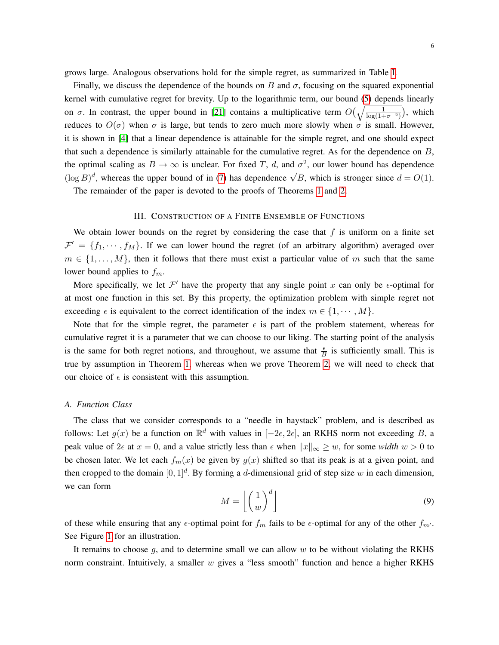grows large. Analogous observations hold for the simple regret, as summarized in Table [I.](#page-4-0)

Finally, we discuss the dependence of the bounds on B and  $\sigma$ , focusing on the squared exponential kernel with cumulative regret for brevity. Up to the logarithmic term, our bound [\(5\)](#page-3-3) depends linearly on  $\sigma$ . In contrast, the upper bound in [\[21\]](#page-19-0) contains a multiplicative term  $O(\sqrt{\frac{1}{\log(1+\sigma^{-2})}})$ , which reduces to  $O(\sigma)$  when  $\sigma$  is large, but tends to zero much more slowly when  $\sigma$  is small. However, it is shown in [\[4\]](#page-18-0) that a linear dependence is attainable for the simple regret, and one should expect that such a dependence is similarly attainable for the cumulative regret. As for the dependence on  $B$ , the optimal scaling as  $B \to \infty$  is unclear. For fixed T, d, and  $\sigma^2$ , our lower bound has dependence  $(\log B)^d$ , whereas the upper bound of in [\(7\)](#page-3-1) has dependence  $\sqrt{B}$ , which is stronger since  $d = O(1)$ .

The remainder of the paper is devoted to the proofs of Theorems [1](#page-2-1) and [2.](#page-3-0)

# III. CONSTRUCTION OF A FINITE ENSEMBLE OF FUNCTIONS

<span id="page-5-2"></span>We obtain lower bounds on the regret by considering the case that  $f$  is uniform on a finite set  $\mathcal{F}' = \{f_1, \dots, f_M\}$ . If we can lower bound the regret (of an arbitrary algorithm) averaged over  $m \in \{1, \ldots, M\}$ , then it follows that there must exist a particular value of m such that the same lower bound applies to  $f_m$ .

More specifically, we let  $\mathcal{F}'$  have the property that any single point x can only be  $\epsilon$ -optimal for at most one function in this set. By this property, the optimization problem with simple regret not exceeding  $\epsilon$  is equivalent to the correct identification of the index  $m \in \{1, \dots, M\}$ .

Note that for the simple regret, the parameter  $\epsilon$  is part of the problem statement, whereas for cumulative regret it is a parameter that we can choose to our liking. The starting point of the analysis is the same for both regret notions, and throughout, we assume that  $\frac{\epsilon}{B}$  is sufficiently small. This is true by assumption in Theorem [1,](#page-2-1) whereas when we prove Theorem [2,](#page-3-0) we will need to check that our choice of  $\epsilon$  is consistent with this assumption.

#### <span id="page-5-1"></span>*A. Function Class*

The class that we consider corresponds to a "needle in haystack" problem, and is described as follows: Let  $g(x)$  be a function on  $\mathbb{R}^d$  with values in  $[-2\epsilon, 2\epsilon]$ , an RKHS norm not exceeding B, a peak value of 2 $\epsilon$  at  $x = 0$ , and a value strictly less than  $\epsilon$  when  $||x||_{\infty} \ge w$ , for some *width*  $w > 0$  to be chosen later. We let each  $f_m(x)$  be given by  $g(x)$  shifted so that its peak is at a given point, and then cropped to the domain  $[0, 1]^d$ . By forming a d-dimensional grid of step size w in each dimension, we can form

<span id="page-5-0"></span>
$$
M = \left\lfloor \left(\frac{1}{w}\right)^d \right\rfloor \tag{9}
$$

of these while ensuring that any  $\epsilon$ -optimal point for  $f_m$  fails to be  $\epsilon$ -optimal for any of the other  $f_{m'}$ . See Figure [1](#page-6-0) for an illustration.

It remains to choose  $g$ , and to determine small we can allow  $w$  to be without violating the RKHS norm constraint. Intuitively, a smaller  $w$  gives a "less smooth" function and hence a higher RKHS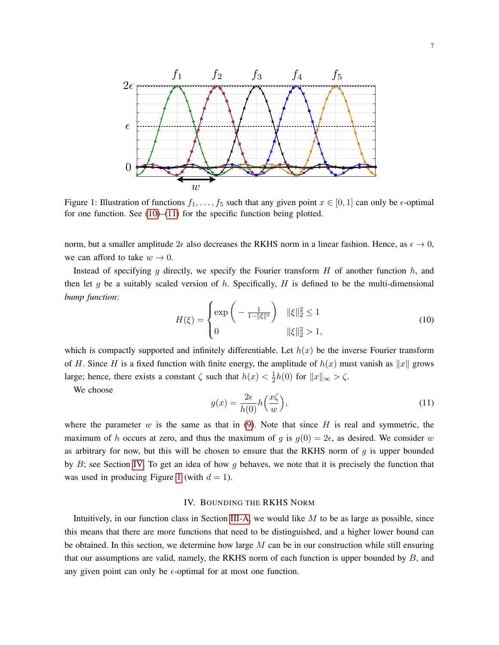<span id="page-6-0"></span>

Figure 1: Illustration of functions  $f_1, \ldots, f_5$  such that any given point  $x \in [0, 1]$  can only be  $\epsilon$ -optimal for one function. See [\(10\)](#page-6-1)–[\(11\)](#page-6-2) for the specific function being plotted.

norm, but a smaller amplitude  $2\epsilon$  also decreases the RKHS norm in a linear fashion. Hence, as  $\epsilon \to 0$ , we can afford to take  $w \to 0$ .

Instead of specifying g directly, we specify the Fourier transform  $H$  of another function  $h$ , and then let g be a suitably scaled version of h. Specifically, H is defined to be the multi-dimensional *bump function*:

<span id="page-6-1"></span>
$$
H(\xi) = \begin{cases} \exp\left(-\frac{1}{1 - \|\xi\|^2}\right) & \|\xi\|_2^2 \le 1\\ 0 & \|\xi\|_2^2 > 1, \end{cases}
$$
(10)

which is compactly supported and infinitely differentiable. Let  $h(x)$  be the inverse Fourier transform of H. Since H is a fixed function with finite energy, the amplitude of  $h(x)$  must vanish as  $||x||$  grows large; hence, there exists a constant  $\zeta$  such that  $h(x) < \frac{1}{2}$  $\frac{1}{2}h(0)$  for  $||x||_{\infty} > \zeta$ .

We choose

<span id="page-6-2"></span>
$$
g(x) = \frac{2\epsilon}{h(0)} h\left(\frac{x\zeta}{w}\right),\tag{11}
$$

where the parameter w is the same as that in  $(9)$ . Note that since H is real and symmetric, the maximum of h occurs at zero, and thus the maximum of g is  $g(0) = 2\epsilon$ , as desired. We consider w as arbitrary for now, but this will be chosen to ensure that the RKHS norm of  $g$  is upper bounded by  $B$ ; see Section [IV.](#page-6-3) To get an idea of how g behaves, we note that it is precisely the function that was used in producing Figure [1](#page-6-0) (with  $d = 1$ ).

# IV. BOUNDING THE RKHS NORM

<span id="page-6-3"></span>Intuitively, in our function class in Section [III-A,](#page-5-1) we would like  $M$  to be as large as possible, since this means that there are more functions that need to be distinguished, and a higher lower bound can be obtained. In this section, we determine how large  $M$  can be in our construction while still ensuring that our assumptions are valid, namely, the RKHS norm of each function is upper bounded by  $B$ , and any given point can only be  $\epsilon$ -optimal for at most one function.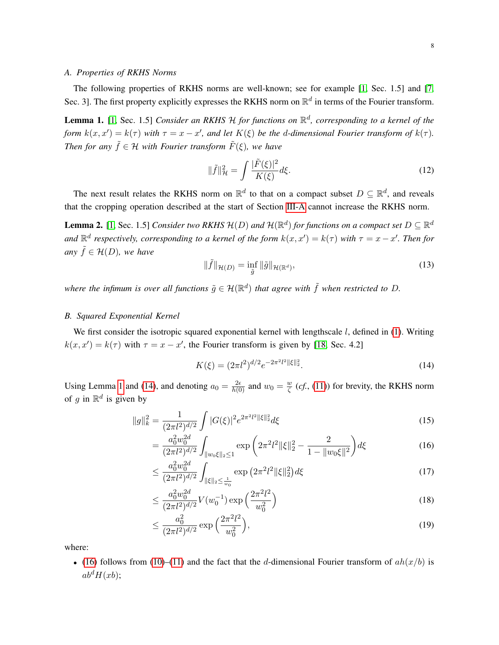# *A. Properties of RKHS Norms*

The following properties of RKHS norms are well-known; see for example [\[1,](#page-18-14) Sec. 1.5] and [\[7,](#page-18-3) Sec. 3]. The first property explicitly expresses the RKHS norm on  $\mathbb{R}^d$  in terms of the Fourier transform.

<span id="page-7-0"></span>Lemma 1. [\[1,](#page-18-14) Sec. 1.5] *Consider an RKHS* H *for functions on* R d *, corresponding to a kernel of the form*  $k(x, x') = k(\tau)$  *with*  $\tau = x - x'$ *, and let*  $K(\xi)$  *be the d-dimensional Fourier transform of*  $k(\tau)$ *. Then for any*  $\tilde{f} \in \mathcal{H}$  *with Fourier transform*  $\tilde{F}(\xi)$ *, we have* 

$$
\|\tilde{f}\|_{\mathcal{H}}^2 = \int \frac{|\tilde{F}(\xi)|^2}{K(\xi)} d\xi.
$$
 (12)

The next result relates the RKHS norm on  $\mathbb{R}^d$  to that on a compact subset  $D \subseteq \mathbb{R}^d$ , and reveals that the cropping operation described at the start of Section [III-A](#page-5-1) cannot increase the RKHS norm.

**Lemma 2.** [\[1,](#page-18-14) Sec. 1.5] *Consider two RKHS*  $\mathcal{H}(D)$  *and*  $\mathcal{H}(\mathbb{R}^d)$  *for functions on a compact set*  $D \subseteq \mathbb{R}^d$ and  $\mathbb{R}^d$  respectively, corresponding to a kernel of the form  $k(x, x') = k(\tau)$  with  $\tau = x - x'$ . Then for *any*  $\tilde{f} \in \mathcal{H}(D)$ *, we have* 

$$
\|\tilde{f}\|_{\mathcal{H}(D)} = \inf_{\tilde{g}} \|\tilde{g}\|_{\mathcal{H}(\mathbb{R}^d)},\tag{13}
$$

where the infimum is over all functions  $\tilde{g} \in \mathcal{H}(\mathbb{R}^d)$  that agree with  $\tilde{f}$  when restricted to D.

#### *B. Squared Exponential Kernel*

We first consider the isotropic squared exponential kernel with lengthscale  $l$ , defined in [\(1\)](#page-1-1). Writing  $k(x, x') = k(\tau)$  with  $\tau = x - x'$ , the Fourier transform is given by [\[18,](#page-19-3) Sec. 4.2]

<span id="page-7-5"></span><span id="page-7-3"></span><span id="page-7-2"></span><span id="page-7-1"></span>
$$
K(\xi) = (2\pi l^2)^{d/2} e^{-2\pi^2 l^2 \|\xi\|_2^2}.
$$
\n(14)

Using Lemma [1](#page-7-0) and [\(14\)](#page-7-1), and denoting  $a_0 = \frac{2\epsilon}{h(0)}$  and  $w_0 = \frac{w}{\zeta}$  $\frac{w}{\zeta}$  (*cf.*, [\(11\)](#page-6-2)) for brevity, the RKHS norm of g in  $\mathbb{R}^d$  is given by

$$
||g||_k^2 = \frac{1}{(2\pi l^2)^{d/2}} \int |G(\xi)|^2 e^{2\pi^2 l^2 ||\xi||_2^2} d\xi
$$
\n(15)

$$
= \frac{a_0^2 w_0^{2d}}{(2\pi l^2)^{d/2}} \int_{\|w_0\xi\|_2 \le 1} \exp\left(2\pi^2 l^2 \|\xi\|_2^2 - \frac{2}{1 - \|w_0\xi\|^2}\right) d\xi \tag{16}
$$

$$
\leq \frac{a_0^2 w_0^{2d}}{(2\pi l^2)^{d/2}} \int_{\|\xi\|_2 \leq \frac{1}{w_0}} \exp\left(2\pi^2 l^2 \|\xi\|_2^2\right) d\xi \tag{17}
$$

$$
\leq \frac{a_0^2 w_0^{2d}}{(2\pi l^2)^{d/2}} V(w_0^{-1}) \exp\left(\frac{2\pi^2 l^2}{w_0^2}\right) \tag{18}
$$

<span id="page-7-4"></span>
$$
\leq \frac{a_0^2}{(2\pi l^2)^{d/2}} \exp\left(\frac{2\pi^2 l^2}{w_0^2}\right),\tag{19}
$$

where:

• [\(16\)](#page-7-2) follows from [\(10\)](#page-6-1)–[\(11\)](#page-6-2) and the fact that the d-dimensional Fourier transform of  $ah(x/b)$  is  $ab^dH(xb);$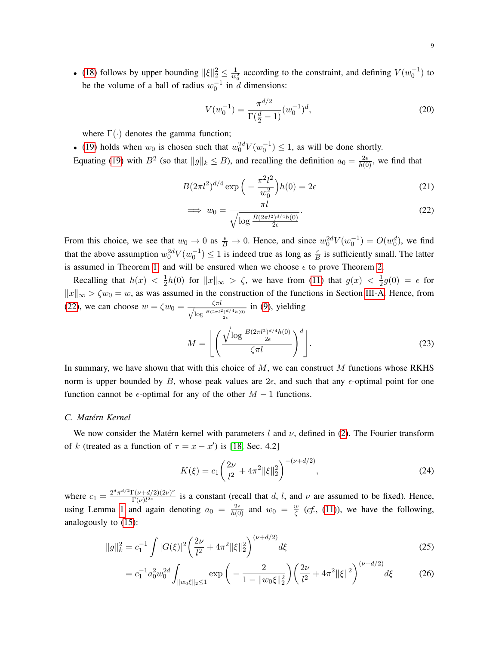• [\(18\)](#page-7-3) follows by upper bounding  $\|\xi\|_2^2 \le \frac{1}{w_0^2}$  according to the constraint, and defining  $V(w_0^{-1})$  to be the volume of a ball of radius  $w_0^{-1}$  in d dimensions:

<span id="page-8-2"></span>
$$
V(w_0^{-1}) = \frac{\pi^{d/2}}{\Gamma(\frac{d}{2} - 1)} (w_0^{-1})^d,
$$
\n(20)

where  $\Gamma(\cdot)$  denotes the gamma function;

• [\(19\)](#page-7-4) holds when  $w_0$  is chosen such that  $w_0^{2d}V(w_0^{-1}) \leq 1$ , as will be done shortly.

Equating [\(19\)](#page-7-4) with  $B^2$  (so that  $||g||_k \leq B$ ), and recalling the definition  $a_0 = \frac{2\epsilon}{h(0)}$ , we find that

$$
B(2\pi l^2)^{d/4} \exp\left(-\frac{\pi^2 l^2}{w_0^2}\right) h(0) = 2\epsilon
$$
 (21)

<span id="page-8-0"></span>
$$
\implies w_0 = \frac{\pi \iota}{\sqrt{\log \frac{B(2\pi l^2)^{d/4}h(0)}{2\epsilon}}}.
$$
\n(22)

From this choice, we see that  $w_0 \to 0$  as  $\frac{\epsilon}{B} \to 0$ . Hence, and since  $w_0^{2d}V(w_0^{-1}) = O(w_0^d)$ , we find that the above assumption  $w_0^2 dV(w_0^{-1}) \le 1$  is indeed true as long as  $\frac{\epsilon}{B}$  is sufficiently small. The latter is assumed in Theorem [1,](#page-2-1) and will be ensured when we choose  $\epsilon$  to prove Theorem [2.](#page-3-0)

Recalling that  $h(x) < \frac{1}{2}$  $\frac{1}{2}h(0)$  for  $||x||_{\infty} > \zeta$ , we have from [\(11\)](#page-6-2) that  $g(x) < \frac{1}{2}$  $\frac{1}{2}g(0) = \epsilon$  for  $||x||_{\infty} > \zeta w_0 = w$ , as was assumed in the construction of the functions in Section [III-A.](#page-5-1) Hence, from [\(22\)](#page-8-0), we can choose  $w = \zeta w_0 = \frac{\zeta \pi l}{\sqrt{\log B(2\pi l^2)}}$  $\log \frac{B(2\pi l^2)^{d/4}h(0)}{2\epsilon}$ in [\(9\)](#page-5-0), yielding

<span id="page-8-3"></span>
$$
M = \left\lfloor \left( \frac{\sqrt{\log \frac{B(2\pi l^2)^{d/4} h(0)}{2\epsilon}}}{\zeta \pi l} \right)^d \right\rfloor. \tag{23}
$$

In summary, we have shown that with this choice of  $M$ , we can construct  $M$  functions whose RKHS norm is upper bounded by B, whose peak values are  $2\epsilon$ , and such that any  $\epsilon$ -optimal point for one function cannot be  $\epsilon$ -optimal for any of the other  $M - 1$  functions.

# *C. Matérn Kernel*

We now consider the Matérn kernel with parameters l and  $\nu$ , defined in [\(2\)](#page-1-2). The Fourier transform of k (treated as a function of  $\tau = x - x'$ ) is [\[18,](#page-19-3) Sec. 4.2]

<span id="page-8-1"></span>
$$
K(\xi) = c_1 \left(\frac{2\nu}{l^2} + 4\pi^2 \|\xi\|_2^2\right)^{-(\nu + d/2)},\tag{24}
$$

where  $c_1 = \frac{2^d \pi^{d/2} \Gamma(\nu + d/2) (2\nu)^{\nu}}{\Gamma(\nu) l^{2\nu}}$  $\frac{\Gamma(\nu+4/2)(2\nu)}{\Gamma(\nu)!^{2\nu}}$  is a constant (recall that d, l, and  $\nu$  are assumed to be fixed). Hence, using Lemma [1](#page-7-0) and again denoting  $a_0 = \frac{2\epsilon}{h(0)}$  and  $w_0 = \frac{w}{\zeta}$  $\frac{w}{\zeta}$  (*cf.*, [\(11\)](#page-6-2)), we have the following, analogously to [\(15\)](#page-7-5):

$$
||g||_k^2 = c_1^{-1} \int |G(\xi)|^2 \left(\frac{2\nu}{l^2} + 4\pi^2 ||\xi||_2^2\right)^{(\nu + d/2)} d\xi
$$
\n(25)

$$
= c_1^{-1} a_0^2 w_0^{2d} \int_{\|w_0\xi\|_2 \le 1} \exp\left(-\frac{2}{1 - \|w_0\xi\|_2^2}\right) \left(\frac{2\nu}{l^2} + 4\pi^2 \|\xi\|^2\right)^{(\nu + d/2)} d\xi \tag{26}
$$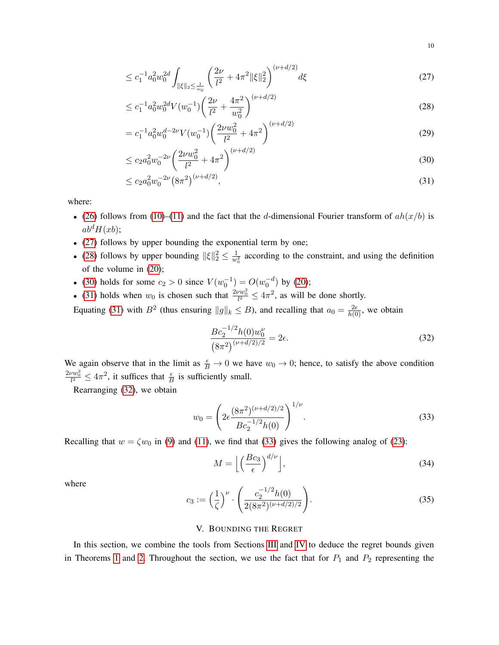<span id="page-9-0"></span>
$$
\leq c_1^{-1} a_0^2 w_0^{2d} \int_{\|\xi\|_2 \leq \frac{1}{w_0}} \left( \frac{2\nu}{l^2} + 4\pi^2 \|\xi\|_2^2 \right)^{(\nu + d/2)} d\xi \tag{27}
$$

<span id="page-9-1"></span>
$$
\leq c_1^{-1} a_0^2 w_0^{2d} V(w_0^{-1}) \left( \frac{2\nu}{l^2} + \frac{4\pi^2}{w_0^2} \right)^{(\nu + d/2)} \tag{28}
$$

$$
= c_1^{-1} a_0^2 w_0^{d-2\nu} V(w_0^{-1}) \left( \frac{2\nu w_0^2}{l^2} + 4\pi^2 \right)^{(\nu + d/2)}
$$
\n(29)

$$
\leq c_2 a_0^2 w_0^{-2\nu} \left(\frac{2\nu w_0^2}{l^2} + 4\pi^2\right)^{(\nu + d/2)}\tag{30}
$$

$$
\leq c_2 a_0^2 w_0^{-2\nu} (8\pi^2)^{(\nu+d/2)},\tag{31}
$$

where:

- [\(26\)](#page-8-1) follows from [\(10\)](#page-6-1)–[\(11\)](#page-6-2) and the fact that the d-dimensional Fourier transform of  $ah(x/b)$  is  $ab^dH(xb)$ ;
- [\(27\)](#page-9-0) follows by upper bounding the exponential term by one;
- [\(28\)](#page-9-1) follows by upper bounding  $||\xi||_2^2 \le \frac{1}{w_0^2}$  according to the constraint, and using the definition of the volume in [\(20\)](#page-8-2);
- [\(30\)](#page-9-2) holds for some  $c_2 > 0$  since  $V(w_0^{-1}) = O(w_0^{-d})$  by [\(20\)](#page-8-2);
- [\(31\)](#page-9-3) holds when  $w_0$  is chosen such that  $\frac{2vw_0^2}{l^2} \le 4\pi^2$ , as will be done shortly.

Equating [\(31\)](#page-9-3) with  $B^2$  (thus ensuring  $||g||_k \leq B$ ), and recalling that  $a_0 = \frac{2\epsilon}{h(0)}$ , we obtain

<span id="page-9-4"></span><span id="page-9-3"></span><span id="page-9-2"></span>
$$
\frac{Bc_2^{-1/2}h(0)w_0^{\nu}}{(8\pi^2)^{(\nu+d/2)/2}} = 2\epsilon.
$$
\n(32)

We again observe that in the limit as  $\frac{\epsilon}{B} \to 0$  we have  $w_0 \to 0$ ; hence, to satisfy the above condition  $\frac{2\nu w_0^2}{l^2} \le 4\pi^2$ , it suffices that  $\frac{\epsilon}{B}$  is sufficiently small.

Rearranging [\(32\)](#page-9-4), we obtain

$$
w_0 = \left(2\epsilon \frac{(8\pi^2)^{(\nu + d/2)/2}}{Bc_2^{-1/2}h(0)}\right)^{1/\nu}.
$$
\n(33)

Recalling that  $w = \zeta w_0$  in [\(9\)](#page-5-0) and [\(11\)](#page-6-2), we find that [\(33\)](#page-9-5) gives the following analog of [\(23\)](#page-8-3):

<span id="page-9-6"></span><span id="page-9-5"></span>
$$
M = \left\lfloor \left( \frac{Bc_3}{\epsilon} \right)^{d/\nu} \right\rfloor, \tag{34}
$$

where

$$
c_3 := \left(\frac{1}{\zeta}\right)^{\nu} \cdot \left(\frac{c_2^{-1/2}h(0)}{2(8\pi^2)^{(\nu+d/2)/2}}\right).
$$
 (35)

#### V. BOUNDING THE REGRET

In this section, we combine the tools from Sections [III](#page-5-2) and [IV](#page-6-3) to deduce the regret bounds given in Theorems [1](#page-2-1) and [2.](#page-3-0) Throughout the section, we use the fact that for  $P_1$  and  $P_2$  representing the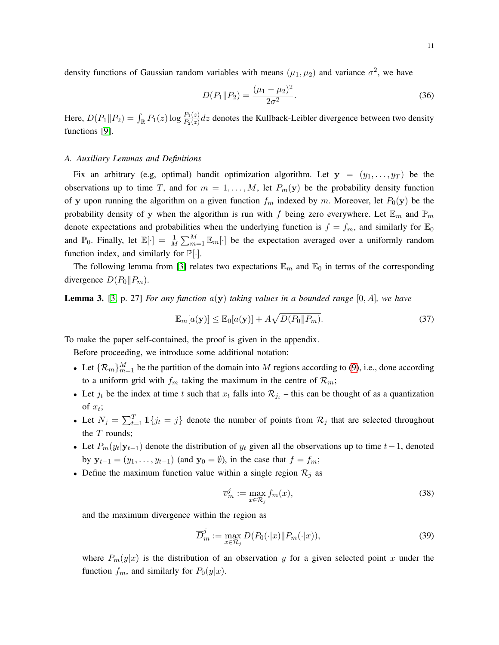density functions of Gaussian random variables with means  $(\mu_1, \mu_2)$  and variance  $\sigma^2$ , we have

<span id="page-10-3"></span>
$$
D(P_1 \| P_2) = \frac{(\mu_1 - \mu_2)^2}{2\sigma^2}.
$$
\n(36)

Here,  $D(P_1||P_2) = \int_{\mathbb{R}} P_1(z) \log \frac{P_1(z)}{P_2(z)} dz$  denotes the Kullback-Leibler divergence between two density functions [\[9\]](#page-18-12).

#### *A. Auxiliary Lemmas and Definitions*

Fix an arbitrary (e.g, optimal) bandit optimization algorithm. Let  $y = (y_1, \ldots, y_T)$  be the observations up to time T, and for  $m = 1, \ldots, M$ , let  $P_m(y)$  be the probability density function of y upon running the algorithm on a given function  $f_m$  indexed by m. Moreover, let  $P_0(y)$  be the probability density of y when the algorithm is run with f being zero everywhere. Let  $\mathbb{E}_m$  and  $\mathbb{P}_m$ denote expectations and probabilities when the underlying function is  $f = f_m$ , and similarly for  $\mathbb{E}_0$ and  $\mathbb{P}_0$ . Finally, let  $\mathbb{E}[\cdot] = \frac{1}{M} \sum_{m=1}^{M} \mathbb{E}_m[\cdot]$  be the expectation averaged over a uniformly random function index, and similarly for  $\mathbb{P}[\cdot]$ .

The following lemma from [\[3\]](#page-18-8) relates two expectations  $\mathbb{E}_m$  and  $\mathbb{E}_0$  in terms of the corresponding divergence  $D(P_0||P_m)$ .

<span id="page-10-2"></span>Lemma 3. [\[3,](#page-18-8) p. 27] *For any function* a(y) *taking values in a bounded range* [0, A]*, we have*

<span id="page-10-0"></span>
$$
\mathbb{E}_m[a(\mathbf{y})] \le \mathbb{E}_0[a(\mathbf{y})] + A\sqrt{D(P_0||P_m)}.
$$
\n(37)

To make the paper self-contained, the proof is given in the appendix.

Before proceeding, we introduce some additional notation:

- Let  $\{\mathcal{R}_m\}_{m=1}^M$  be the partition of the domain into M regions according to [\(9\)](#page-5-0), i.e., done according to a uniform grid with  $f_m$  taking the maximum in the centre of  $\mathcal{R}_m$ ;
- Let  $j_t$  be the index at time t such that  $x_t$  falls into  $\mathcal{R}_{j_t}$  this can be thought of as a quantization of  $x_t$ ;
- Let  $N_j = \sum_{t=1}^T \mathbb{1}\{j_t = j\}$  denote the number of points from  $\mathcal{R}_j$  that are selected throughout the  $T$  rounds:
- Let  $P_m(y_t|\mathbf{y}_{t-1})$  denote the distribution of  $y_t$  given all the observations up to time  $t-1$ , denoted by  $y_{t-1} = (y_1, \ldots, y_{t-1})$  (and  $y_0 = \emptyset$ ), in the case that  $f = f_m$ ;
- Define the maximum function value within a single region  $\mathcal{R}_j$  as

$$
\overline{v}_m^j := \max_{x \in \mathcal{R}_j} f_m(x),\tag{38}
$$

and the maximum divergence within the region as

<span id="page-10-1"></span>
$$
\overline{D}_m^j := \max_{x \in \mathcal{R}_j} D(P_0(\cdot|x) \| P_m(\cdot|x)),\tag{39}
$$

where  $P_m(y|x)$  is the distribution of an observation y for a given selected point x under the function  $f_m$ , and similarly for  $P_0(y|x)$ .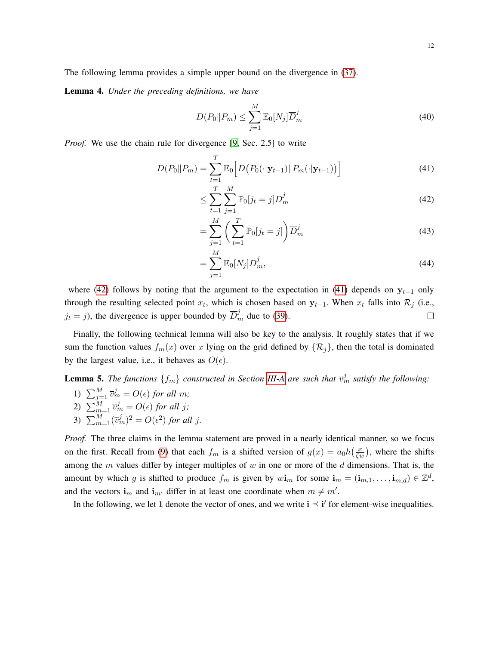The following lemma provides a simple upper bound on the divergence in [\(37\)](#page-10-0).

Lemma 4. *Under the preceding definitions, we have*

<span id="page-11-2"></span>
$$
D(P_0 \| P_m) \le \sum_{j=1}^{M} \mathbb{E}_0[N_j] \overline{D}_m^j
$$
\n(40)

*Proof.* We use the chain rule for divergence [\[9,](#page-18-12) Sec. 2.5] to write

$$
D(P_0 \| P_m) = \sum_{t=1}^{T} \mathbb{E}_0 \Big[ D\big(P_0(\cdot | \mathbf{y}_{t-1}) \| P_m(\cdot | \mathbf{y}_{t-1})\big) \Big] \tag{41}
$$

<span id="page-11-1"></span><span id="page-11-0"></span>
$$
\leq \sum_{t=1}^{T} \sum_{j=1}^{M} \mathbb{P}_0[j_t = j] \overline{D}_m^j \tag{42}
$$

$$
= \sum_{j=1}^{M} \left( \sum_{t=1}^{T} \mathbb{P}_0[j_t = j] \right) \overline{D}_m^j \tag{43}
$$

$$
=\sum_{j=1}^{M}\mathbb{E}_{0}[N_{j}]\overline{D}_{m}^{j},\tag{44}
$$

where [\(42\)](#page-11-0) follows by noting that the argument to the expectation in [\(41\)](#page-11-1) depends on  $y_{t-1}$  only through the resulting selected point  $x_t$ , which is chosen based on  $y_{t-1}$ . When  $x_t$  falls into  $\mathcal{R}_j$  (i.e.,  $j_t = j$ ), the divergence is upper bounded by  $\overline{D}_m^j$  due to [\(39\)](#page-10-1).  $\Box$ 

Finally, the following technical lemma will also be key to the analysis. It roughly states that if we sum the function values  $f_m(x)$  over x lying on the grid defined by  $\{\mathcal{R}_i\}$ , then the total is dominated by the largest value, i.e., it behaves as  $O(\epsilon)$ .

# <span id="page-11-3"></span>**Lemma 5.** The functions  $\{f_m\}$  constructed in Section [III-A](#page-5-1) are such that  $\overline{v}_m^j$  satisfy the following:

- 1)  $\sum_{j=1}^{M} \overline{v}_{m}^{j} = O(\epsilon)$  for all m; 2)  $\sum_{m=1}^{M} \overline{v}_m^j = O(\epsilon)$  for all j;
- 3)  $\sum_{m=1}^{M} (\overline{v}_m^j)^2 = O(\epsilon^2)$  for all j.

*Proof.* The three claims in the lemma statement are proved in a nearly identical manner, so we focus on the first. Recall from [\(9\)](#page-5-0) that each  $f_m$  is a shifted version of  $g(x) = a_0 h(\frac{x}{\zeta w})$ , where the shifts among the  $m$  values differ by integer multiples of  $w$  in one or more of the  $d$  dimensions. That is, the amount by which g is shifted to produce  $f_m$  is given by  $w\mathbf{i}_m$  for some  $\mathbf{i}_m = (\mathbf{i}_{m,1}, \dots, \mathbf{i}_{m,d}) \in \mathbb{Z}^d$ , and the vectors  $\mathbf{i}_m$  and  $\mathbf{i}_{m'}$  differ in at least one coordinate when  $m \neq m'$ .

In the following, we let 1 denote the vector of ones, and we write  $i \leq i'$  for element-wise inequalities.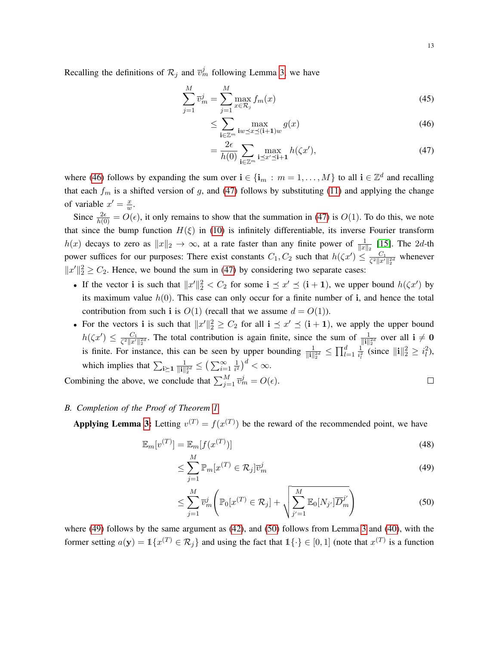$$
\sum_{j=1}^{M} \overline{v}_{m}^{j} = \sum_{j=1}^{M} \max_{x \in \mathcal{R}_{j}} f_{m}(x)
$$
\n(45)

$$
\leq \sum_{\mathbf{i}\in\mathbb{Z}^m} \max_{\mathbf{i}w\preceq x\preceq(\mathbf{i}+\mathbf{1})w} g(x) \tag{46}
$$

<span id="page-12-1"></span><span id="page-12-0"></span>
$$
= \frac{2\epsilon}{h(0)} \sum_{\mathbf{i}\in\mathbb{Z}^m} \max_{\mathbf{i}\preceq x'\preceq \mathbf{i}+\mathbf{1}} h(\zeta x'),\tag{47}
$$

where [\(46\)](#page-12-0) follows by expanding the sum over  $i \in \{i_m : m = 1, ..., M\}$  to all  $i \in \mathbb{Z}^d$  and recalling that each  $f_m$  is a shifted version of g, and [\(47\)](#page-12-1) follows by substituting [\(11\)](#page-6-2) and applying the change of variable  $x' = \frac{x}{w}$  $\frac{x}{w}.$ 

Since  $\frac{2\epsilon}{h(0)} = O(\epsilon)$ , it only remains to show that the summation in [\(47\)](#page-12-1) is  $O(1)$ . To do this, we note that since the bump function  $H(\xi)$  in [\(10\)](#page-6-1) is infinitely differentiable, its inverse Fourier transform  $h(x)$  decays to zero as  $||x||_2 \to \infty$ , at a rate faster than any finite power of  $\frac{1}{||x||_2}$  [\[15\]](#page-18-15). The 2d-th power suffices for our purposes: There exist constants  $C_1, C_2$  such that  $h(\zeta x') \leq \frac{C_1}{\zeta^2 \|x'}$  $rac{C_1}{\zeta^2 ||x'||_2^{2d}}$  whenever  $||x'||_2^2 \ge C_2$ . Hence, we bound the sum in [\(47\)](#page-12-1) by considering two separate cases:

- If the vector i is such that  $||x'||_2^2 < C_2$  for some  $i \leq x' \leq (i + 1)$ , we upper bound  $h(\zeta x')$  by its maximum value  $h(0)$ . This case can only occur for a finite number of i, and hence the total contribution from such i is  $O(1)$  (recall that we assume  $d = O(1)$ ).
- For the vectors i is such that  $||x'||_2^2 \ge C_2$  for all  $i \le x' \le (i + 1)$ , we apply the upper bound  $h(\zeta x') \leq \frac{C_1}{\zeta^2 ||x'|}$  $\frac{C_1}{\zeta^2 \|x'\|^2}$ . The total contribution is again finite, since the sum of  $\frac{1}{\|\mathbf{i}\|_2^{2d}}$  over all  $\mathbf{i} \neq \mathbf{0}$ is finite. For instance, this can be seen by upper bounding  $\frac{1}{\|\mathbf{i}\|_2^{2d}} \le \prod_{l=1}^d \frac{1}{i_l^2}$  $\frac{1}{i_l^2}$  (since  $\|\mathbf{i}\|_2^2 \geq i_l^2$ ), which implies that  $\sum_{i \geq 1} \frac{1}{\|i\|}$  $\frac{1}{\|\mathbf{i}\|_2^{2d}} \leq \big(\sum_{i=1}^\infty \frac{1}{i^2}$  $\frac{1}{i^2}\big)^d < \infty.$

Combining the above, we conclude that  $\sum_{j=1}^{M} \overline{v}_{m}^{j} = O(\epsilon)$ .  $\Box$ 

# <span id="page-12-4"></span>*B. Completion of the Proof of Theorem [1](#page-2-1)*

Applying Lemma [3:](#page-10-2) Letting  $v^{(T)} = f(x^{(T)})$  be the reward of the recommended point, we have

$$
\mathbb{E}_m[v^{(T)}] = \mathbb{E}_m[f(x^{(T)})]
$$
\n(48)

<span id="page-12-3"></span><span id="page-12-2"></span>
$$
\leq \sum_{j=1}^{M} \mathbb{P}_{m}[x^{(T)} \in \mathcal{R}_{j}] \overline{v}_{m}^{j}
$$
\n(49)

$$
\leq \sum_{j=1}^{M} \overline{v}_{m}^{j} \left( \mathbb{P}_{0}[x^{(T)} \in \mathcal{R}_{j}] + \sqrt{\sum_{j'=1}^{M} \mathbb{E}_{0}[N_{j'}] \overline{D}_{m}^{j'}} \right)
$$
(50)

where [\(49\)](#page-12-2) follows by the same argument as [\(42\)](#page-11-0), and [\(50\)](#page-12-3) follows from Lemma [3](#page-10-2) and [\(40\)](#page-11-2), with the former setting  $a(\mathbf{y}) = \mathbb{1}\{x^{(T)} \in \mathcal{R}_j\}$  and using the fact that  $\mathbb{1}\{\cdot\} \in [0,1]$  (note that  $x^{(T)}$  is a function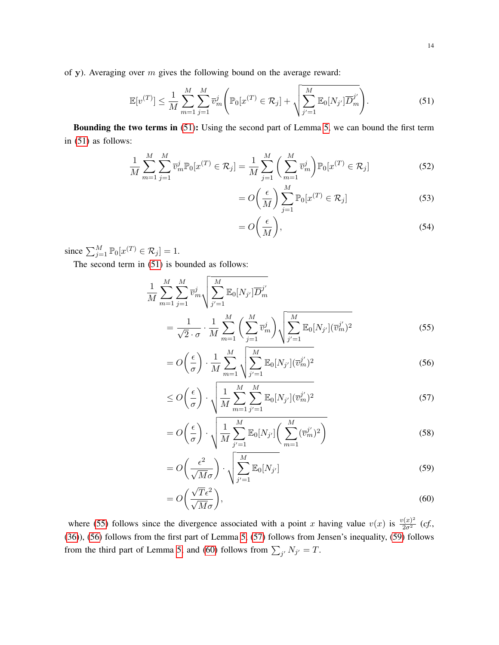of y). Averaging over  $m$  gives the following bound on the average reward:

<span id="page-13-0"></span>
$$
\mathbb{E}[v^{(T)}] \le \frac{1}{M} \sum_{m=1}^{M} \sum_{j=1}^{M} \overline{v}_{m}^{j} \left( \mathbb{P}_{0}[x^{(T)} \in \mathcal{R}_{j}] + \sqrt{\sum_{j'=1}^{M} \mathbb{E}_{0}[N_{j'}] \overline{D}_{m}^{j'}} \right).
$$
(51)

Bounding the two terms in [\(51\)](#page-13-0): Using the second part of Lemma [5,](#page-11-3) we can bound the first term in [\(51\)](#page-13-0) as follows:

$$
\frac{1}{M} \sum_{m=1}^{M} \sum_{j=1}^{M} \overline{v}_{m}^{j} \mathbb{P}_{0}[x^{(T)} \in \mathcal{R}_{j}] = \frac{1}{M} \sum_{j=1}^{M} \left( \sum_{m=1}^{M} \overline{v}_{m}^{j} \right) \mathbb{P}_{0}[x^{(T)} \in \mathcal{R}_{j}]
$$
\n(52)

$$
= O\left(\frac{\epsilon}{M}\right) \sum_{j=1}^{M} \mathbb{P}_{0}[x^{(T)} \in \mathcal{R}_{j}]
$$
\n(53)

<span id="page-13-6"></span><span id="page-13-3"></span><span id="page-13-2"></span><span id="page-13-1"></span>
$$
=O\left(\frac{\epsilon}{M}\right),\tag{54}
$$

since  $\sum_{j=1}^{M} \mathbb{P}_{0}[x^{(T)} \in \mathcal{R}_{j}] = 1$ .

The second term in [\(51\)](#page-13-0) is bounded as follows:

$$
\frac{1}{M} \sum_{m=1}^{M} \sum_{j=1}^{M} \overline{v}_{m}^{j} \sqrt{\sum_{j'=1}^{M} \mathbb{E}_{0}[N_{j'}] \overline{D}_{m}^{j'}}\n= \frac{1}{\sqrt{2} \cdot \sigma} \cdot \frac{1}{M} \sum_{m=1}^{M} \left( \sum_{j=1}^{M} \overline{v}_{m}^{j} \right) \sqrt{\sum_{j'=1}^{M} \mathbb{E}_{0}[N_{j'}] (\overline{v}_{m}^{j'})^{2}}
$$
\n(55)

$$
= O\left(\frac{\epsilon}{\sigma}\right) \cdot \frac{1}{M} \sum_{m=1}^{M} \sqrt{\sum_{j'=1}^{M} \mathbb{E}_{0}[N_{j'}](\overline{v}_{m}^{j'})^{2}}
$$
(56)

$$
\leq O\left(\frac{\epsilon}{\sigma}\right) \cdot \sqrt{\frac{1}{M} \sum_{m=1}^{M} \sum_{j'=1}^{M} \mathbb{E}_{0}[N_{j'}](\overline{v}_{m}^{j'})^{2}}
$$
(57)

$$
= O\left(\frac{\epsilon}{\sigma}\right) \cdot \sqrt{\frac{1}{M} \sum_{j'=1}^{M} \mathbb{E}_{0}[N_{j'}] \left(\sum_{m=1}^{M} (\overline{v}_{m}^{j'})^{2}\right)}
$$
(58)

<span id="page-13-4"></span>
$$
= O\left(\frac{\epsilon^2}{\sqrt{M}\sigma}\right) \cdot \sqrt{\sum_{j'=1}^{M} \mathbb{E}_0[N_{j'}]}\tag{59}
$$

<span id="page-13-5"></span>
$$
= O\left(\frac{\sqrt{T}\epsilon^2}{\sqrt{M}\sigma}\right),\tag{60}
$$

where [\(55\)](#page-13-1) follows since the divergence associated with a point x having value  $v(x)$  is  $\frac{v(x)^2}{2\sigma^2}$  (cf., [\(36\)](#page-10-3)), [\(56\)](#page-13-2) follows from the first part of Lemma [5,](#page-11-3) [\(57\)](#page-13-3) follows from Jensen's inequality, [\(59\)](#page-13-4) follows from the third part of Lemma [5,](#page-11-3) and [\(60\)](#page-13-5) follows from  $\sum_{j'} N_{j'} = T$ .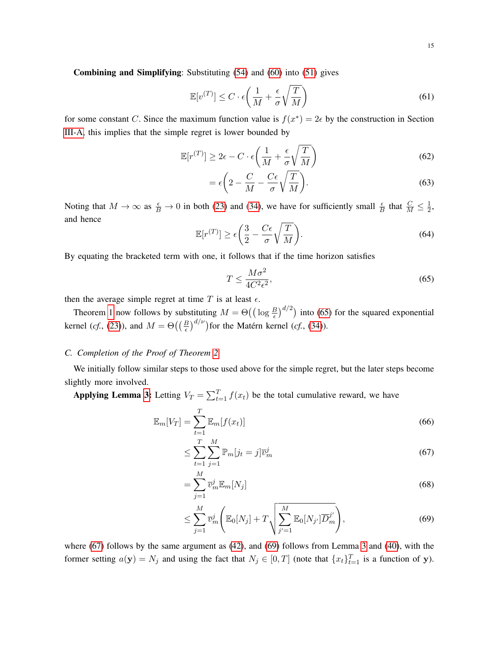Combining and Simplifying: Substituting [\(54\)](#page-13-6) and [\(60\)](#page-13-5) into [\(51\)](#page-13-0) gives

$$
\mathbb{E}[v^{(T)}] \le C \cdot \epsilon \left(\frac{1}{M} + \frac{\epsilon}{\sigma} \sqrt{\frac{T}{M}}\right)
$$
\n(61)

for some constant C. Since the maximum function value is  $f(x^*) = 2\epsilon$  by the construction in Section [III-A,](#page-5-1) this implies that the simple regret is lower bounded by

$$
\mathbb{E}[r^{(T)}] \ge 2\epsilon - C \cdot \epsilon \left(\frac{1}{M} + \frac{\epsilon}{\sigma} \sqrt{\frac{T}{M}}\right)
$$
(62)

$$
= \epsilon \left( 2 - \frac{C}{M} - \frac{C\epsilon}{\sigma} \sqrt{\frac{T}{M}} \right). \tag{63}
$$

Noting that  $M \to \infty$  as  $\frac{\epsilon}{B} \to 0$  in both [\(23\)](#page-8-3) and [\(34\)](#page-9-6), we have for sufficiently small  $\frac{\epsilon}{B}$  that  $\frac{C}{M} \le \frac{1}{2}$  $\frac{1}{2}$ , and hence

$$
\mathbb{E}[r^{(T)}] \ge \epsilon \left(\frac{3}{2} - \frac{C\epsilon}{\sigma} \sqrt{\frac{T}{M}}\right). \tag{64}
$$

By equating the bracketed term with one, it follows that if the time horizon satisfies

<span id="page-14-0"></span>
$$
T \le \frac{M\sigma^2}{4C^2\epsilon^2},\tag{65}
$$

then the average simple regret at time  $T$  is at least  $\epsilon$ .

Theorem [1](#page-2-1) now follows by substituting  $M = \Theta\left(\left(\log \frac{B}{\epsilon}\right)^{d/2}\right)$  into [\(65\)](#page-14-0) for the squared exponential kernel (*cf.*, [\(23\)](#page-8-3)), and  $M = \Theta\left(\left(\frac{B}{\epsilon}\right)^{d/\nu}\right)$  for the Matérn kernel (*cf.*, [\(34\)](#page-9-6)).

# *C. Completion of the Proof of Theorem [2](#page-3-0)*

We initially follow similar steps to those used above for the simple regret, but the later steps become slightly more involved.

Applying Lemma [3:](#page-10-2) Letting  $V_T = \sum_{t=1}^T f(x_t)$  be the total cumulative reward, we have

$$
\mathbb{E}_m[V_T] = \sum_{t=1}^T \mathbb{E}_m[f(x_t)] \tag{66}
$$

<span id="page-14-1"></span>
$$
\leq \sum_{t=1}^{T} \sum_{j=1}^{M} \mathbb{P}_m[j_t = j] \overline{v}_m^j \tag{67}
$$

$$
=\sum_{j=1}^{M}\overline{v}_{m}^{j}\mathbb{E}_{m}[N_{j}]
$$
\n(68)

<span id="page-14-2"></span>
$$
\leq \sum_{j=1}^{M} \overline{v}_{m}^{j} \left( \mathbb{E}_{0}[N_{j}] + T \sqrt{\sum_{j'=1}^{M} \mathbb{E}_{0}[N_{j'}] \overline{D}_{m}^{j'}} \right), \tag{69}
$$

where [\(67\)](#page-14-1) follows by the same argument as [\(42\)](#page-11-0), and [\(69\)](#page-14-2) follows from Lemma [3](#page-10-2) and [\(40\)](#page-11-2), with the former setting  $a(\mathbf{y}) = N_j$  and using the fact that  $N_j \in [0, T]$  (note that  $\{x_t\}_{t=1}^T$  is a function of y).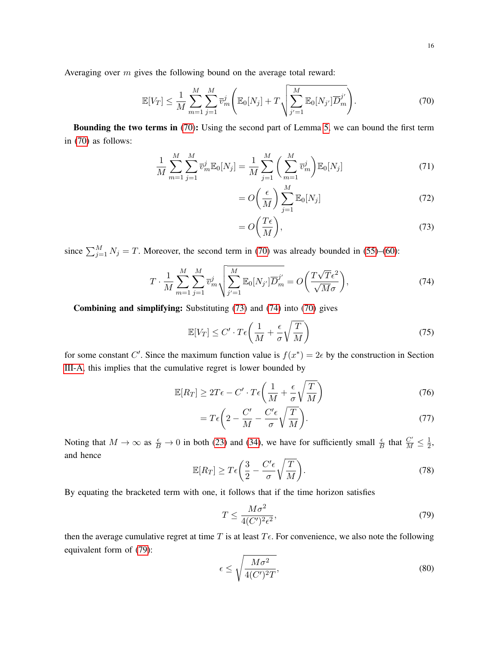Averaging over m gives the following bound on the average total reward:

<span id="page-15-0"></span>
$$
\mathbb{E}[V_T] \le \frac{1}{M} \sum_{m=1}^M \sum_{j=1}^M \overline{v}_m^j \left( \mathbb{E}_0[N_j] + T \sqrt{\sum_{j'=1}^M \mathbb{E}_0[N_{j'}] \overline{D}_m^{j'}} \right).
$$
(70)

Bounding the two terms in [\(70\)](#page-15-0): Using the second part of Lemma [5,](#page-11-3) we can bound the first term in [\(70\)](#page-15-0) as follows:

$$
\frac{1}{M} \sum_{m=1}^{M} \sum_{j=1}^{M} \overline{v}_{m}^{j} \mathbb{E}_{0}[N_{j}] = \frac{1}{M} \sum_{j=1}^{M} \left( \sum_{m=1}^{M} \overline{v}_{m}^{j} \right) \mathbb{E}_{0}[N_{j}] \tag{71}
$$

$$
= O\left(\frac{\epsilon}{M}\right) \sum_{j=1}^{M} \mathbb{E}_{0}[N_{j}] \tag{72}
$$

<span id="page-15-1"></span>
$$
=O\left(\frac{T\epsilon}{M}\right),\tag{73}
$$

since  $\sum_{j=1}^{M} N_j = T$ . Moreover, the second term in [\(70\)](#page-15-0) was already bounded in [\(55\)](#page-13-1)–[\(60\)](#page-13-5):

<span id="page-15-2"></span>
$$
T \cdot \frac{1}{M} \sum_{m=1}^{M} \sum_{j=1}^{M} \overline{v}_{m}^{j} \sqrt{\sum_{j'=1}^{M} \mathbb{E}_{0}[N_{j'}] \overline{D}_{m}^{j'}} = O\left(\frac{T\sqrt{T}\epsilon^{2}}{\sqrt{M}\sigma}\right),\tag{74}
$$

Combining and simplifying: Substituting [\(73\)](#page-15-1) and [\(74\)](#page-15-2) into [\(70\)](#page-15-0) gives

$$
\mathbb{E}[V_T] \le C' \cdot T \epsilon \left(\frac{1}{M} + \frac{\epsilon}{\sigma} \sqrt{\frac{T}{M}}\right) \tag{75}
$$

for some constant C'. Since the maximum function value is  $f(x^*) = 2\epsilon$  by the construction in Section [III-A,](#page-5-1) this implies that the cumulative regret is lower bounded by

$$
\mathbb{E}[R_T] \ge 2T\epsilon - C' \cdot T\epsilon \left(\frac{1}{M} + \frac{\epsilon}{\sigma} \sqrt{\frac{T}{M}}\right)
$$
(76)

$$
=T\epsilon\bigg(2-\frac{C'}{M}-\frac{C'\epsilon}{\sigma}\sqrt{\frac{T}{M}}\bigg). \tag{77}
$$

Noting that  $M \to \infty$  as  $\frac{\epsilon}{B} \to 0$  in both [\(23\)](#page-8-3) and [\(34\)](#page-9-6), we have for sufficiently small  $\frac{\epsilon}{B}$  that  $\frac{C'}{M} \le \frac{1}{2}$  $\frac{1}{2}$ , and hence

$$
\mathbb{E}[R_T] \ge T\epsilon \left(\frac{3}{2} - \frac{C'\epsilon}{\sigma} \sqrt{\frac{T}{M}}\right). \tag{78}
$$

By equating the bracketed term with one, it follows that if the time horizon satisfies

<span id="page-15-3"></span>
$$
T \le \frac{M\sigma^2}{4(C')^2 \epsilon^2},\tag{79}
$$

then the average cumulative regret at time T is at least  $T\epsilon$ . For convenience, we also note the following equivalent form of [\(79\)](#page-15-3):

<span id="page-15-4"></span>
$$
\epsilon \le \sqrt{\frac{M\sigma^2}{4(C')^2 T}},\tag{80}
$$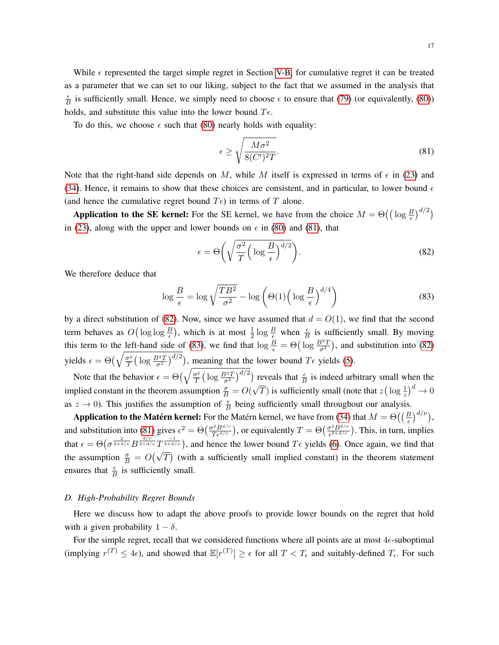While  $\epsilon$  represented the target simple regret in Section [V-B,](#page-12-4) for cumulative regret it can be treated as a parameter that we can set to our liking, subject to the fact that we assumed in the analysis that  $\epsilon$  $\frac{\epsilon}{B}$  is sufficiently small. Hence, we simply need to choose  $\epsilon$  to ensure that [\(79\)](#page-15-3) (or equivalently, [\(80\)](#page-15-4)) holds, and substitute this value into the lower bound  $T\epsilon$ .

To do this, we choose  $\epsilon$  such that [\(80\)](#page-15-4) nearly holds with equality:

<span id="page-16-1"></span>
$$
\epsilon \ge \sqrt{\frac{M\sigma^2}{8(C')^2T}}.\tag{81}
$$

Note that the right-hand side depends on M, while M itself is expressed in terms of  $\epsilon$  in [\(23\)](#page-8-3) and [\(34\)](#page-9-6). Hence, it remains to show that these choices are consistent, and in particular, to lower bound  $\epsilon$ (and hence the cumulative regret bound  $T\epsilon$ ) in terms of T alone.

**Application to the SE kernel:** For the SE kernel, we have from the choice  $M = \Theta((\log \frac{B}{\epsilon})^{d/2})$ in [\(23\)](#page-8-3), along with the upper and lower bounds on  $\epsilon$  in [\(80\)](#page-15-4) and [\(81\)](#page-16-1), that

<span id="page-16-2"></span>
$$
\epsilon = \Theta\left(\sqrt{\frac{\sigma^2}{T} \left(\log \frac{B}{\epsilon}\right)^{d/2}}\right).
$$
\n(82)

We therefore deduce that

<span id="page-16-3"></span>
$$
\log \frac{B}{\epsilon} = \log \sqrt{\frac{TB^2}{\sigma^2}} - \log \left( \Theta(1) \left( \log \frac{B}{\epsilon} \right)^{d/4} \right) \tag{83}
$$

by a direct substitution of [\(82\)](#page-16-2). Now, since we have assumed that  $d = O(1)$ , we find that the second term behaves as  $O(\log \log \frac{B}{\epsilon})$ , which is at most  $\frac{1}{2} \log \frac{B}{\epsilon}$  when  $\frac{\epsilon}{B}$  is sufficiently small. By moving this term to the <u>left-hand side of</u> [\(83\)](#page-16-3), we find that  $\log \frac{B}{\epsilon} = \Theta\left(\log \frac{B^2 T}{\sigma^2}\right)$ , and substitution into [\(82\)](#page-16-2) yields  $\epsilon = \Theta\left(\sqrt{\frac{\sigma^2}{T}}\right)$  $\frac{\sigma^2}{T} \left( \log \frac{B^2 T}{\sigma^2} \right)^{d/2}$ , meaning that the lower bound  $T \epsilon$  yields [\(5\)](#page-3-3).

Note that the behavior  $\epsilon = \Theta\left(\sqrt{\frac{\sigma^2}{T}}\right)$  $\frac{\sigma^2}{T} \left( \log \frac{B^2 T}{\sigma^2} \right)^{d/2}$  reveals that  $\frac{\epsilon}{B}$  is indeed arbitrary small when the implied constant in the theorem assumption  $\frac{\sigma}{B} = O(n)$ √  $\overline{T}$ ) is sufficiently small (note that  $z \left( \log \frac{1}{z} \right)^d \to 0$ as  $z \to 0$ ). This justifies the assumption of  $\frac{\epsilon}{B}$  being sufficiently small throughout our analysis.

**Application to the Matérn kernel:** For the Matérn kernel, we have from [\(34\)](#page-9-6) that  $M = \Theta\left(\left(\frac{B}{\epsilon}\right)^{d/\nu}\right)$ , and substitution into [\(81\)](#page-16-1) gives  $\epsilon^2 = \Theta\left(\frac{\sigma^2 B^{d/\nu}}{T \epsilon^{d/\nu}}\right)$ , or equivalently  $T = \Theta\left(\frac{\sigma^2 B^{d/\nu}}{\epsilon^{2+d/\nu}}\right)$  $\left(\frac{\sigma^2 B^{d/\nu}}{\epsilon^{2+d/\nu}}\right)$ . This, in turn, implies that  $\epsilon = \Theta\left(\sigma^{\frac{2}{2+d/\nu}}B^{\frac{d/\nu}{2+d/\nu}}T^{\frac{-1}{2+d/\nu}}\right)$ , and hence the lower bound  $T\epsilon$  yields [\(6\)](#page-3-4). Once again, we find that the assumption  $\frac{\sigma}{B} = O(\sqrt{T})$  (with a sufficiently small implied constant) in the theorem statement ensures that  $\frac{\epsilon}{B}$  is sufficiently small.

#### <span id="page-16-0"></span>*D. High-Probability Regret Bounds*

Here we discuss how to adapt the above proofs to provide lower bounds on the regret that hold with a given probability  $1 - \delta$ .

For the simple regret, recall that we considered functions where all points are at most  $4\epsilon$ -suboptimal (implying  $r^{(T)} \le 4\epsilon$ ), and showed that  $\mathbb{E}[r^{(T)}] \ge \epsilon$  for all  $T < T_{\epsilon}$  and suitably-defined  $T_{\epsilon}$ . For such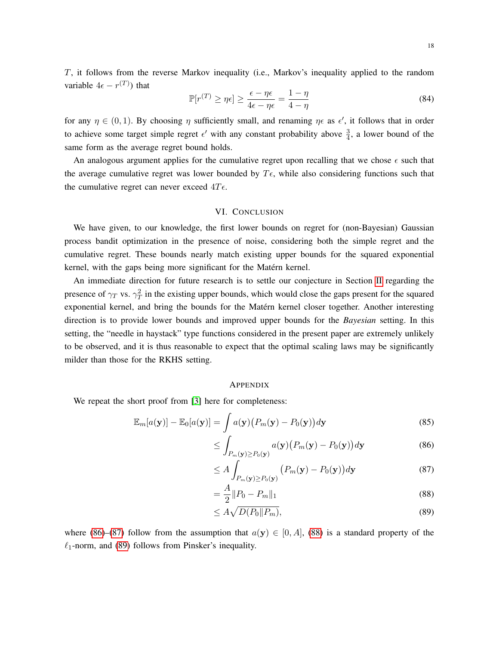T, it follows from the reverse Markov inequality (i.e., Markov's inequality applied to the random variable  $4\epsilon - r^{(T)}$ ) that

$$
\mathbb{P}[r^{(T)} \ge \eta \epsilon] \ge \frac{\epsilon - \eta \epsilon}{4\epsilon - \eta \epsilon} = \frac{1 - \eta}{4 - \eta}
$$
\n(84)

for any  $\eta \in (0,1)$ . By choosing  $\eta$  sufficiently small, and renaming  $\eta \epsilon$  as  $\epsilon'$ , it follows that in order to achieve some target simple regret  $\epsilon'$  with any constant probability above  $\frac{3}{4}$ , a lower bound of the same form as the average regret bound holds.

An analogous argument applies for the cumulative regret upon recalling that we chose  $\epsilon$  such that the average cumulative regret was lower bounded by  $T\epsilon$ , while also considering functions such that the cumulative regret can never exceed  $4T\epsilon$ .

#### VI. CONCLUSION

We have given, to our knowledge, the first lower bounds on regret for (non-Bayesian) Gaussian process bandit optimization in the presence of noise, considering both the simple regret and the cumulative regret. These bounds nearly match existing upper bounds for the squared exponential kernel, with the gaps being more significant for the Matérn kernel.

An immediate direction for future research is to settle our conjecture in Section [II](#page-2-0) regarding the presence of  $\gamma_T$  vs.  $\gamma_T^2$  in the existing upper bounds, which would close the gaps present for the squared exponential kernel, and bring the bounds for the Matérn kernel closer together. Another interesting direction is to provide lower bounds and improved upper bounds for the *Bayesian* setting. In this setting, the "needle in haystack" type functions considered in the present paper are extremely unlikely to be observed, and it is thus reasonable to expect that the optimal scaling laws may be significantly milder than those for the RKHS setting.

#### <span id="page-17-1"></span><span id="page-17-0"></span>**APPENDIX**

We repeat the short proof from [\[3\]](#page-18-8) here for completeness:

$$
\mathbb{E}_{m}[a(\mathbf{y})] - \mathbb{E}_{0}[a(\mathbf{y})] = \int_{a}^{b} a(\mathbf{y}) \big(P_m(\mathbf{y}) - P_0(\mathbf{y})\big) d\mathbf{y}
$$
\n(85)

$$
\leq \int_{P_m(\mathbf{y}) \geq P_0(\mathbf{y})} a(\mathbf{y}) \big( P_m(\mathbf{y}) - P_0(\mathbf{y}) \big) d\mathbf{y} \tag{86}
$$

$$
\leq A \int_{P_m(\mathbf{y}) \geq P_0(\mathbf{y})} \left( P_m(\mathbf{y}) - P_0(\mathbf{y}) \right) d\mathbf{y} \tag{87}
$$

<span id="page-17-2"></span>
$$
=\frac{A}{2}||P_0 - P_m||_1\tag{88}
$$

<span id="page-17-3"></span>
$$
\leq A\sqrt{D(P_0||P_m)},\tag{89}
$$

where [\(86\)](#page-17-0)–[\(87\)](#page-17-1) follow from the assumption that  $a(y) \in [0, A]$ , [\(88\)](#page-17-2) is a standard property of the  $\ell_1$ -norm, and [\(89\)](#page-17-3) follows from Pinsker's inequality.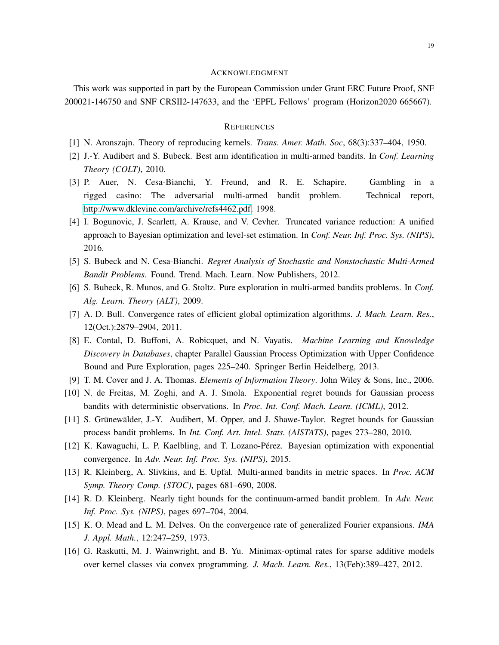#### ACKNOWLEDGMENT

This work was supported in part by the European Commission under Grant ERC Future Proof, SNF 200021-146750 and SNF CRSII2-147633, and the 'EPFL Fellows' program (Horizon2020 665667).

#### **REFERENCES**

- <span id="page-18-14"></span><span id="page-18-7"></span>[1] N. Aronszajn. Theory of reproducing kernels. *Trans. Amer. Math. Soc*, 68(3):337–404, 1950.
- [2] J.-Y. Audibert and S. Bubeck. Best arm identification in multi-armed bandits. In *Conf. Learning Theory (COLT)*, 2010.
- <span id="page-18-8"></span>[3] P. Auer, N. Cesa-Bianchi, Y. Freund, and R. E. Schapire. Gambling in a rigged casino: The adversarial multi-armed bandit problem. Technical report, [http://www.dklevine.com/archive/refs4462.pdf,](http://www.dklevine.com/archive/refs4462.pdf) 1998.
- <span id="page-18-0"></span>[4] I. Bogunovic, J. Scarlett, A. Krause, and V. Cevher. Truncated variance reduction: A unified approach to Bayesian optimization and level-set estimation. In *Conf. Neur. Inf. Proc. Sys. (NIPS)*, 2016.
- <span id="page-18-9"></span>[5] S. Bubeck and N. Cesa-Bianchi. *Regret Analysis of Stochastic and Nonstochastic Multi-Armed Bandit Problems*. Found. Trend. Mach. Learn. Now Publishers, 2012.
- <span id="page-18-13"></span>[6] S. Bubeck, R. Munos, and G. Stoltz. Pure exploration in multi-armed bandits problems. In *Conf. Alg. Learn. Theory (ALT)*, 2009.
- <span id="page-18-3"></span>[7] A. D. Bull. Convergence rates of efficient global optimization algorithms. *J. Mach. Learn. Res.*, 12(Oct.):2879–2904, 2011.
- <span id="page-18-1"></span>[8] E. Contal, D. Buffoni, A. Robicquet, and N. Vayatis. *Machine Learning and Knowledge Discovery in Databases*, chapter Parallel Gaussian Process Optimization with Upper Confidence Bound and Pure Exploration, pages 225–240. Springer Berlin Heidelberg, 2013.
- <span id="page-18-12"></span>[9] T. M. Cover and J. A. Thomas. *Elements of Information Theory*. John Wiley & Sons, Inc., 2006.
- <span id="page-18-4"></span>[10] N. de Freitas, M. Zoghi, and A. J. Smola. Exponential regret bounds for Gaussian process bandits with deterministic observations. In *Proc. Int. Conf. Mach. Learn. (ICML)*, 2012.
- <span id="page-18-6"></span>[11] S. Grünewälder, J.-Y. Audibert, M. Opper, and J. Shawe-Taylor. Regret bounds for Gaussian process bandit problems. In *Int. Conf. Art. Intel. Stats. (AISTATS)*, pages 273–280, 2010.
- <span id="page-18-5"></span>[12] K. Kawaguchi, L. P. Kaelbling, and T. Lozano-Pérez. Bayesian optimization with exponential convergence. In *Adv. Neur. Inf. Proc. Sys. (NIPS)*, 2015.
- <span id="page-18-10"></span>[13] R. Kleinberg, A. Slivkins, and E. Upfal. Multi-armed bandits in metric spaces. In *Proc. ACM Symp. Theory Comp. (STOC)*, pages 681–690, 2008.
- <span id="page-18-11"></span>[14] R. D. Kleinberg. Nearly tight bounds for the continuum-armed bandit problem. In *Adv. Neur. Inf. Proc. Sys. (NIPS)*, pages 697–704, 2004.
- <span id="page-18-15"></span>[15] K. O. Mead and L. M. Delves. On the convergence rate of generalized Fourier expansions. *IMA J. Appl. Math.*, 12:247–259, 1973.
- <span id="page-18-2"></span>[16] G. Raskutti, M. J. Wainwright, and B. Yu. Minimax-optimal rates for sparse additive models over kernel classes via convex programming. *J. Mach. Learn. Res.*, 13(Feb):389–427, 2012.